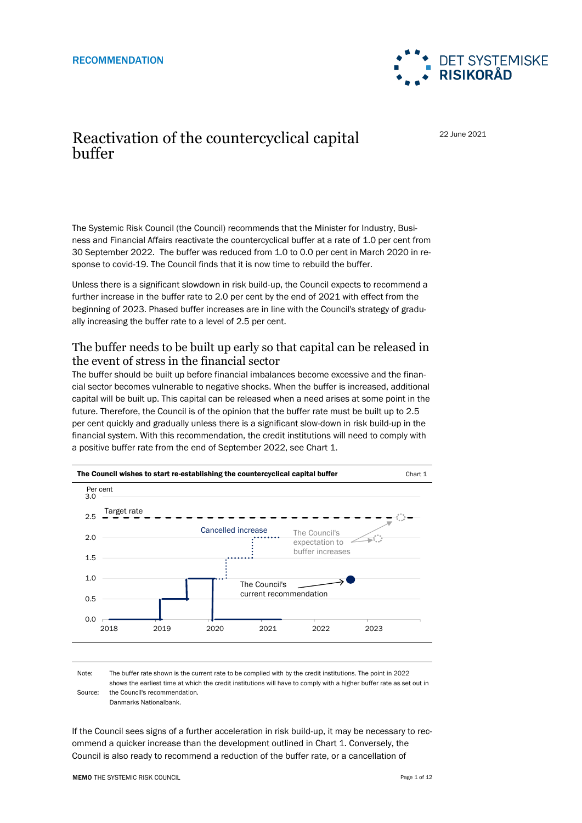

## Reactivation of the countercyclical capital buffer

22 June 2021

The Systemic Risk Council (the Council) recommends that the Minister for Industry, Business and Financial Affairs reactivate the countercyclical buffer at a rate of 1.0 per cent from 30 September 2022. The buffer was reduced from 1.0 to 0.0 per cent in March 2020 in response to covid-19. The Council finds that it is now time to rebuild the buffer.

Unless there is a significant slowdown in risk build-up, the Council expects to recommend a further increase in the buffer rate to 2.0 per cent by the end of 2021 with effect from the beginning of 2023. Phased buffer increases are in line with the Council's strategy of gradually increasing the buffer rate to a level of 2.5 per cent.

#### The buffer needs to be built up early so that capital can be released in the event of stress in the financial sector

The buffer should be built up before financial imbalances become excessive and the financial sector becomes vulnerable to negative shocks. When the buffer is increased, additional capital will be built up. This capital can be released when a need arises at some point in the future. Therefore, the Council is of the opinion that the buffer rate must be built up to 2.5 per cent quickly and gradually unless there is a significant slow-down in risk build-up in the financial system. With this recommendation, the credit institutions will need to comply with a positive buffer rate from the end of September 2022, see Chart 1.



Note: Source: The buffer rate shown is the current rate to be complied with by the credit institutions. The point in 2022 shows the earliest time at which the credit institutions will have to comply with a higher buffer rate as set out in the Council's recommendation. Danmarks Nationalbank.

If the Council sees signs of a further acceleration in risk build-up, it may be necessary to recommend a quicker increase than the development outlined in Chart 1. Conversely, the Council is also ready to recommend a reduction of the buffer rate, or a cancellation of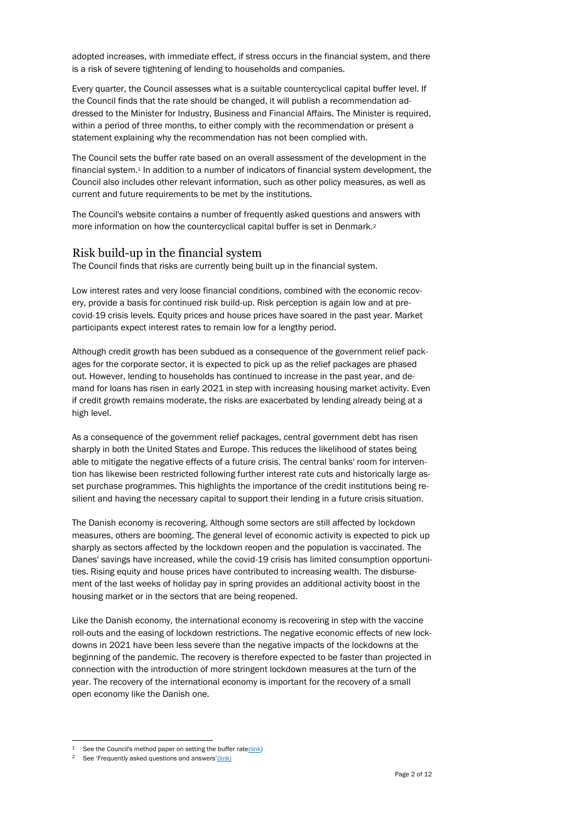adopted increases, with immediate effect, if stress occurs in the financial system, and there is a risk of severe tightening of lending to households and companies.

Every quarter, the Council assesses what is a suitable countercyclical capital buffer level. If the Council finds that the rate should be changed, it will publish a recommendation addressed to the Minister for Industry, Business and Financial Affairs. The Minister is required, within a period of three months, to either comply with the recommendation or present a statement explaining why the recommendation has not been complied with.

The Council sets the buffer rate based on an overall assessment of the development in the financial system.<sup>1</sup> In addition to a number of indicators of financial system development, the Council also includes other relevant information, such as other policy measures, as well as current and future requirements to be met by the institutions.

The Council's website contains a number of frequently asked questions and answers with more information on how the countercyclical capital buffer is set in Denmark.<sup>2</sup>

#### Risk build-up in the financial system

The Council finds that risks are currently being built up in the financial system.

Low interest rates and very loose financial conditions, combined with the economic recovery, provide a basis for continued risk build-up. Risk perception is again low and at precovid-19 crisis levels. Equity prices and house prices have soared in the past year. Market participants expect interest rates to remain low for a lengthy period.

Although credit growth has been subdued as a consequence of the government relief packages for the corporate sector, it is expected to pick up as the relief packages are phased out. However, lending to households has continued to increase in the past year, and demand for loans has risen in early 2021 in step with increasing housing market activity. Even if credit growth remains moderate, the risks are exacerbated by lending already being at a high level.

As a consequence of the government relief packages, central government debt has risen sharply in both the United States and Europe. This reduces the likelihood of states being able to mitigate the negative effects of a future crisis. The central banks' room for intervention has likewise been restricted following further interest rate cuts and historically large asset purchase programmes. This highlights the importance of the credit institutions being resilient and having the necessary capital to support their lending in a future crisis situation.

The Danish economy is recovering. Although some sectors are still affected by lockdown measures, others are booming. The general level of economic activity is expected to pick up sharply as sectors affected by the lockdown reopen and the population is vaccinated. The Danes' savings have increased, while the covid-19 crisis has limited consumption opportunities. Rising equity and house prices have contributed to increasing wealth. The disbursement of the last weeks of holiday pay in spring provides an additional activity boost in the housing market or in the sectors that are being reopened.

Like the Danish economy, the international economy is recovering in step with the vaccine roll-outs and the easing of lockdown restrictions. The negative economic effects of new lockdowns in 2021 have been less severe than the negative impacts of the lockdowns at the beginning of the pandemic. The recovery is therefore expected to be faster than projected in connection with the introduction of more stringent lockdown measures at the turn of the year. The recovery of the international economy is important for the recovery of a small open economy like the Danish one.

<sup>&</sup>lt;sup>1</sup> See the Council's method paper on setting the buffer rate $(\overline{link})$ 

See 'Frequently asked questions and answers'[\(link\)](https://risikoraad.dk/arbejdsomraader/kontracyklisk-kapitalbuffer/qa)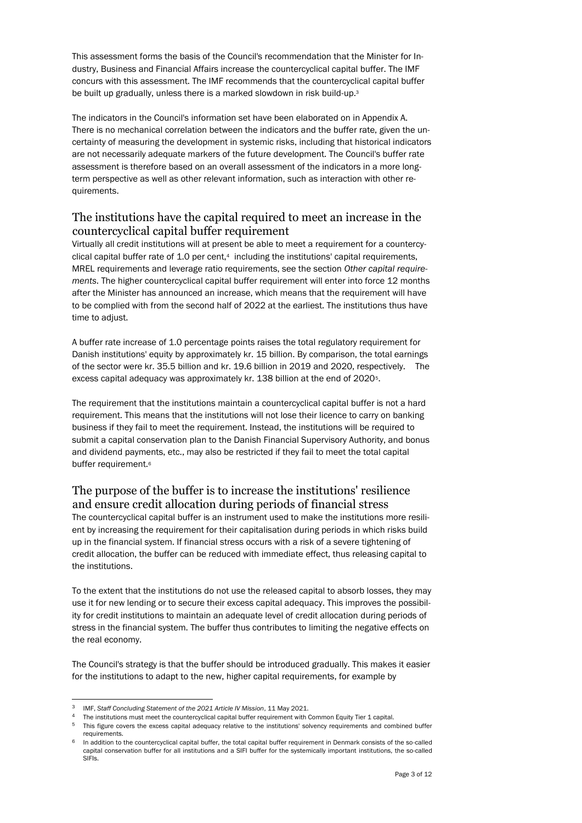This assessment forms the basis of the Council's recommendation that the Minister for Industry, Business and Financial Affairs increase the countercyclical capital buffer. The IMF concurs with this assessment. The IMF recommends that the countercyclical capital buffer be built up gradually, unless there is a marked slowdown in risk build-up.<sup>3</sup>

The indicators in the Council's information set have been elaborated on in Appendix A. There is no mechanical correlation between the indicators and the buffer rate, given the uncertainty of measuring the development in systemic risks, including that historical indicators are not necessarily adequate markers of the future development. The Council's buffer rate assessment is therefore based on an overall assessment of the indicators in a more longterm perspective as well as other relevant information, such as interaction with other requirements.

### The institutions have the capital required to meet an increase in the countercyclical capital buffer requirement

Virtually all credit institutions will at present be able to meet a requirement for a countercyclical capital buffer rate of 1.0 per cent,<sup>4</sup> including the institutions' capital requirements, MREL requirements and leverage ratio requirements, see the section *Other capital requirements*. The higher countercyclical capital buffer requirement will enter into force 12 months after the Minister has announced an increase, which means that the requirement will have to be complied with from the second half of 2022 at the earliest. The institutions thus have time to adjust.

A buffer rate increase of 1.0 percentage points raises the total regulatory requirement for Danish institutions' equity by approximately kr. 15 billion. By comparison, the total earnings of the sector were kr. 35.5 billion and kr. 19.6 billion in 2019 and 2020, respectively. The excess capital adequacy was approximately kr. 138 billion at the end of 2020<sup>5</sup>.

The requirement that the institutions maintain a countercyclical capital buffer is not a hard requirement. This means that the institutions will not lose their licence to carry on banking business if they fail to meet the requirement. Instead, the institutions will be required to submit a capital conservation plan to the Danish Financial Supervisory Authority, and bonus and dividend payments, etc., may also be restricted if they fail to meet the total capital buffer requirement.<sup>6</sup>

## The purpose of the buffer is to increase the institutions' resilience and ensure credit allocation during periods of financial stress

The countercyclical capital buffer is an instrument used to make the institutions more resilient by increasing the requirement for their capitalisation during periods in which risks build up in the financial system. If financial stress occurs with a risk of a severe tightening of credit allocation, the buffer can be reduced with immediate effect, thus releasing capital to the institutions.

To the extent that the institutions do not use the released capital to absorb losses, they may use it for new lending or to secure their excess capital adequacy. This improves the possibility for credit institutions to maintain an adequate level of credit allocation during periods of stress in the financial system. The buffer thus contributes to limiting the negative effects on the real economy.

The Council's strategy is that the buffer should be introduced gradually. This makes it easier for the institutions to adapt to the new, higher capital requirements, for example by

<sup>3</sup> IMF, *Staff Concluding Statement of the 2021 Article IV Mission*, 11 May 2021.

<sup>4</sup> The institutions must meet the countercyclical capital buffer requirement with Common Equity Tier 1 capital.

<sup>5</sup> This figure covers the excess capital adequacy relative to the institutions' solvency requirements and combined buffer requirements.

In addition to the countercyclical capital buffer, the total capital buffer requirement in Denmark consists of the so-called capital conservation buffer for all institutions and a SIFI buffer for the systemically important institutions, the so-called SIFIs.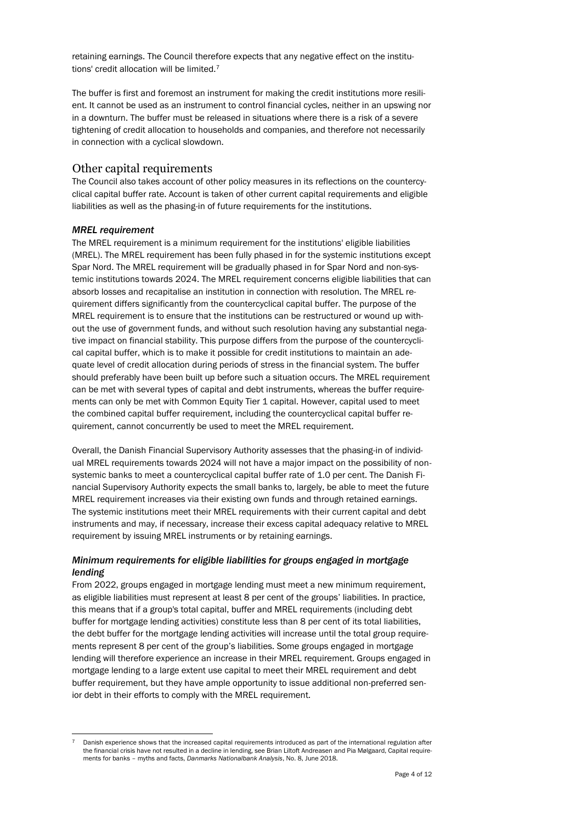retaining earnings. The Council therefore expects that any negative effect on the institutions' credit allocation will be limited.<sup>7</sup>

The buffer is first and foremost an instrument for making the credit institutions more resilient. It cannot be used as an instrument to control financial cycles, neither in an upswing nor in a downturn. The buffer must be released in situations where there is a risk of a severe tightening of credit allocation to households and companies, and therefore not necessarily in connection with a cyclical slowdown.

#### Other capital requirements

The Council also takes account of other policy measures in its reflections on the countercyclical capital buffer rate. Account is taken of other current capital requirements and eligible liabilities as well as the phasing-in of future requirements for the institutions.

#### *MREL requirement*

l

The MREL requirement is a minimum requirement for the institutions' eligible liabilities (MREL). The MREL requirement has been fully phased in for the systemic institutions except Spar Nord. The MREL requirement will be gradually phased in for Spar Nord and non-systemic institutions towards 2024. The MREL requirement concerns eligible liabilities that can absorb losses and recapitalise an institution in connection with resolution. The MREL requirement differs significantly from the countercyclical capital buffer. The purpose of the MREL requirement is to ensure that the institutions can be restructured or wound up without the use of government funds, and without such resolution having any substantial negative impact on financial stability. This purpose differs from the purpose of the countercyclical capital buffer, which is to make it possible for credit institutions to maintain an adequate level of credit allocation during periods of stress in the financial system. The buffer should preferably have been built up before such a situation occurs. The MREL requirement can be met with several types of capital and debt instruments, whereas the buffer requirements can only be met with Common Equity Tier 1 capital. However, capital used to meet the combined capital buffer requirement, including the countercyclical capital buffer requirement, cannot concurrently be used to meet the MREL requirement.

Overall, the Danish Financial Supervisory Authority assesses that the phasing-in of individual MREL requirements towards 2024 will not have a major impact on the possibility of nonsystemic banks to meet a countercyclical capital buffer rate of 1.0 per cent. The Danish Financial Supervisory Authority expects the small banks to, largely, be able to meet the future MREL requirement increases via their existing own funds and through retained earnings. The systemic institutions meet their MREL requirements with their current capital and debt instruments and may, if necessary, increase their excess capital adequacy relative to MREL requirement by issuing MREL instruments or by retaining earnings.

#### *Minimum requirements for eligible liabilities for groups engaged in mortgage lending*

From 2022, groups engaged in mortgage lending must meet a new minimum requirement, as eligible liabilities must represent at least 8 per cent of the groups' liabilities. In practice, this means that if a group's total capital, buffer and MREL requirements (including debt buffer for mortgage lending activities) constitute less than 8 per cent of its total liabilities, the debt buffer for the mortgage lending activities will increase until the total group requirements represent 8 per cent of the group's liabilities. Some groups engaged in mortgage lending will therefore experience an increase in their MREL requirement. Groups engaged in mortgage lending to a large extent use capital to meet their MREL requirement and debt buffer requirement, but they have ample opportunity to issue additional non-preferred senior debt in their efforts to comply with the MREL requirement.

Danish experience shows that the increased capital requirements introduced as part of the international regulation after the financial crisis have not resulted in a decline in lending, see Brian Liltoft Andreasen and Pia Mølgaard, Capital requirements for banks – myths and facts, *Danmarks Nationalbank Analysis*, No. 8, June 2018.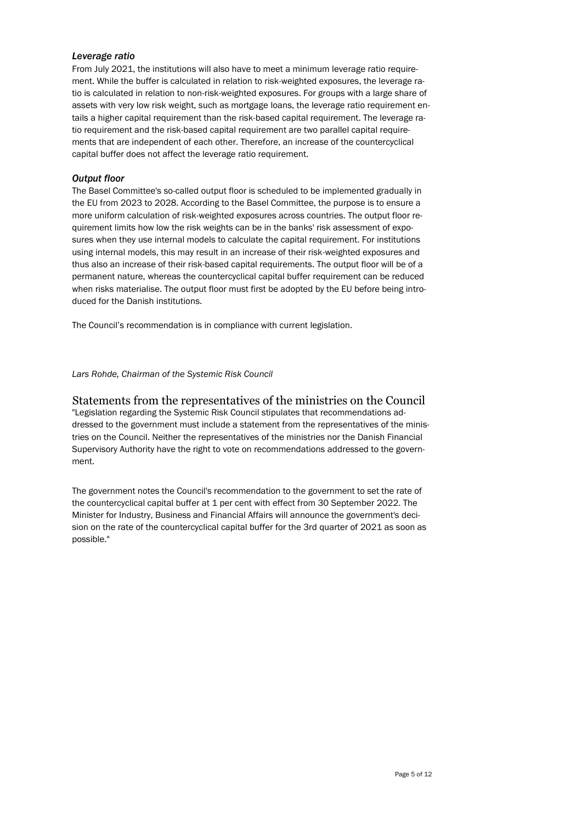#### *Leverage ratio*

From July 2021, the institutions will also have to meet a minimum leverage ratio requirement. While the buffer is calculated in relation to risk-weighted exposures, the leverage ratio is calculated in relation to non-risk-weighted exposures. For groups with a large share of assets with very low risk weight, such as mortgage loans, the leverage ratio requirement entails a higher capital requirement than the risk-based capital requirement. The leverage ratio requirement and the risk-based capital requirement are two parallel capital requirements that are independent of each other. Therefore, an increase of the countercyclical capital buffer does not affect the leverage ratio requirement.

#### *Output floor*

The Basel Committee's so-called output floor is scheduled to be implemented gradually in the EU from 2023 to 2028. According to the Basel Committee, the purpose is to ensure a more uniform calculation of risk-weighted exposures across countries. The output floor requirement limits how low the risk weights can be in the banks' risk assessment of exposures when they use internal models to calculate the capital requirement. For institutions using internal models, this may result in an increase of their risk-weighted exposures and thus also an increase of their risk-based capital requirements. The output floor will be of a permanent nature, whereas the countercyclical capital buffer requirement can be reduced when risks materialise. The output floor must first be adopted by the EU before being introduced for the Danish institutions.

The Council's recommendation is in compliance with current legislation.

*Lars Rohde, Chairman of the Systemic Risk Council*

#### Statements from the representatives of the ministries on the Council

"Legislation regarding the Systemic Risk Council stipulates that recommendations addressed to the government must include a statement from the representatives of the ministries on the Council. Neither the representatives of the ministries nor the Danish Financial Supervisory Authority have the right to vote on recommendations addressed to the government.

The government notes the Council's recommendation to the government to set the rate of the countercyclical capital buffer at 1 per cent with effect from 30 September 2022. The Minister for Industry, Business and Financial Affairs will announce the government's decision on the rate of the countercyclical capital buffer for the 3rd quarter of 2021 as soon as possible."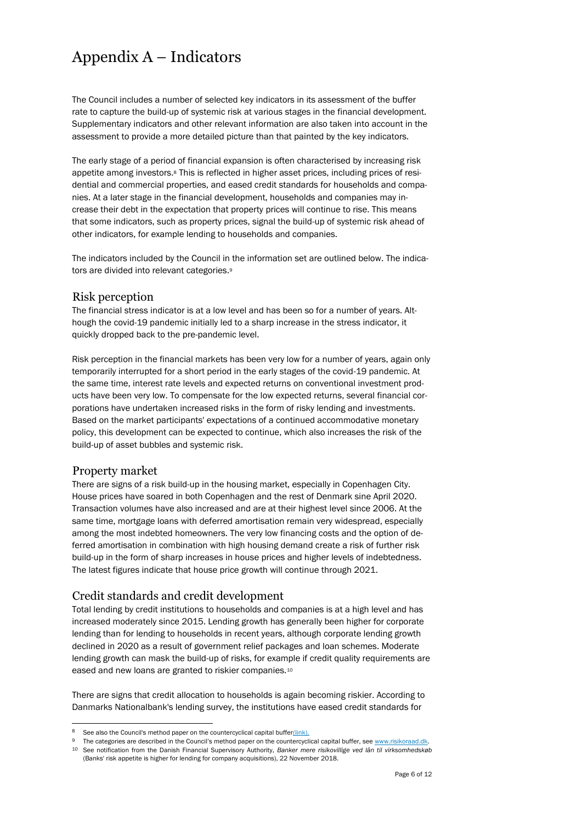# Appendix A – Indicators

The Council includes a number of selected key indicators in its assessment of the buffer rate to capture the build-up of systemic risk at various stages in the financial development. Supplementary indicators and other relevant information are also taken into account in the assessment to provide a more detailed picture than that painted by the key indicators.

The early stage of a period of financial expansion is often characterised by increasing risk appetite among investors.<sup>8</sup> This is reflected in higher asset prices, including prices of residential and commercial properties, and eased credit standards for households and companies. At a later stage in the financial development, households and companies may increase their debt in the expectation that property prices will continue to rise. This means that some indicators, such as property prices, signal the build-up of systemic risk ahead of other indicators, for example lending to households and companies.

The indicators included by the Council in the information set are outlined below. The indicators are divided into relevant categories.<sup>9</sup>

#### Risk perception

The financial stress indicator is at a low level and has been so for a number of years. Although the covid-19 pandemic initially led to a sharp increase in the stress indicator, it quickly dropped back to the pre-pandemic level.

Risk perception in the financial markets has been very low for a number of years, again only temporarily interrupted for a short period in the early stages of the covid-19 pandemic. At the same time, interest rate levels and expected returns on conventional investment products have been very low. To compensate for the low expected returns, several financial corporations have undertaken increased risks in the form of risky lending and investments. Based on the market participants' expectations of a continued accommodative monetary policy, this development can be expected to continue, which also increases the risk of the build-up of asset bubbles and systemic risk.

#### Property market

l

There are signs of a risk build-up in the housing market, especially in Copenhagen City. House prices have soared in both Copenhagen and the rest of Denmark sine April 2020. Transaction volumes have also increased and are at their highest level since 2006. At the same time, mortgage loans with deferred amortisation remain very widespread, especially among the most indebted homeowners. The very low financing costs and the option of deferred amortisation in combination with high housing demand create a risk of further risk build-up in the form of sharp increases in house prices and higher levels of indebtedness. The latest figures indicate that house price growth will continue through 2021.

#### Credit standards and credit development

Total lending by credit institutions to households and companies is at a high level and has increased moderately since 2015. Lending growth has generally been higher for corporate lending than for lending to households in recent years, although corporate lending growth declined in 2020 as a result of government relief packages and loan schemes. Moderate lending growth can mask the build-up of risks, for example if credit quality requirements are eased and new loans are granted to riskier companies.<sup>10</sup>

There are signs that credit allocation to households is again becoming riskier. According to Danmarks Nationalbank's lending survey, the institutions have eased credit standards for

See also the Council's method paper on the countercyclical capital buffe[r\(link\).](https://risikoraad.dk/media/6548/dsrr22-metodenotat-dk.pdf)

The categories are described in the Council's method paper on the countercyclical capital buffer, see www.risikoraad.dk. <sup>10</sup> See notification from the Danish Financial Supervisory Authority, *Banker mere risikovillige ved lån til virksomhedskøb* (Banks' risk appetite is higher for lending for company acquisitions), 22 November 2018.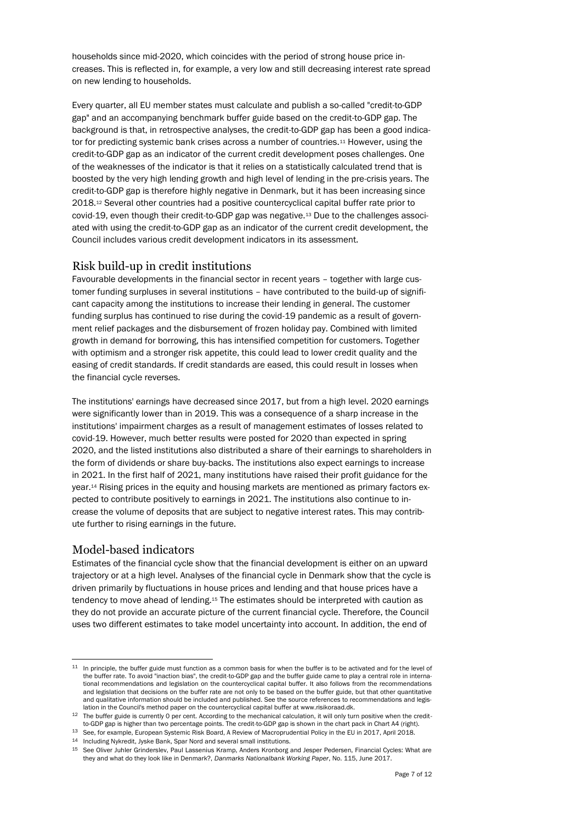households since mid-2020, which coincides with the period of strong house price increases. This is reflected in, for example, a very low and still decreasing interest rate spread on new lending to households.

Every quarter, all EU member states must calculate and publish a so-called "credit-to-GDP gap" and an accompanying benchmark buffer guide based on the credit-to-GDP gap. The background is that, in retrospective analyses, the credit-to-GDP gap has been a good indicator for predicting systemic bank crises across a number of countries.<sup>11</sup> However, using the credit-to-GDP gap as an indicator of the current credit development poses challenges. One of the weaknesses of the indicator is that it relies on a statistically calculated trend that is boosted by the very high lending growth and high level of lending in the pre-crisis years. The credit-to-GDP gap is therefore highly negative in Denmark, but it has been increasing since 2018.<sup>12</sup> Several other countries had a positive countercyclical capital buffer rate prior to covid-19, even though their credit-to-GDP gap was negative.<sup>13</sup> Due to the challenges associated with using the credit-to-GDP gap as an indicator of the current credit development, the Council includes various credit development indicators in its assessment.

#### Risk build-up in credit institutions

Favourable developments in the financial sector in recent years – together with large customer funding surpluses in several institutions – have contributed to the build-up of significant capacity among the institutions to increase their lending in general. The customer funding surplus has continued to rise during the covid-19 pandemic as a result of government relief packages and the disbursement of frozen holiday pay. Combined with limited growth in demand for borrowing, this has intensified competition for customers. Together with optimism and a stronger risk appetite, this could lead to lower credit quality and the easing of credit standards. If credit standards are eased, this could result in losses when the financial cycle reverses.

The institutions' earnings have decreased since 2017, but from a high level. 2020 earnings were significantly lower than in 2019. This was a consequence of a sharp increase in the institutions' impairment charges as a result of management estimates of losses related to covid-19. However, much better results were posted for 2020 than expected in spring 2020, and the listed institutions also distributed a share of their earnings to shareholders in the form of dividends or share buy-backs. The institutions also expect earnings to increase in 2021. In the first half of 2021, many institutions have raised their profit guidance for the year.<sup>14</sup> Rising prices in the equity and housing markets are mentioned as primary factors expected to contribute positively to earnings in 2021. The institutions also continue to increase the volume of deposits that are subject to negative interest rates. This may contribute further to rising earnings in the future.

#### Model-based indicators

l

Estimates of the financial cycle show that the financial development is either on an upward trajectory or at a high level. Analyses of the financial cycle in Denmark show that the cycle is driven primarily by fluctuations in house prices and lending and that house prices have a tendency to move ahead of lending.<sup>15</sup> The estimates should be interpreted with caution as they do not provide an accurate picture of the current financial cycle. Therefore, the Council uses two different estimates to take model uncertainty into account. In addition, the end of

 $11$  In principle, the buffer guide must function as a common basis for when the buffer is to be activated and for the level of the buffer rate. To avoid "inaction bias", the credit-to-GDP gap and the buffer guide came to play a central role in international recommendations and legislation on the countercyclical capital buffer. It also follows from the recommendations and legislation that decisions on the buffer rate are not only to be based on the buffer guide, but that other quantitative and qualitative information should be included and published. See the source references to recommendations and legislation in the Council's method paper on the countercyclical capital buffer at www.risikoraad.dk.

<sup>&</sup>lt;sup>12</sup> The buffer guide is currently 0 per cent. According to the mechanical calculation, it will only turn positive when the creditto-GDP gap is higher than two percentage points. The credit-to-GDP gap is shown in the chart pack in Chart A4 (right).

<sup>13</sup> See, for example, European Systemic Risk Board, A Review of Macroprudential Policy in the EU in 2017, April 2018.

<sup>14</sup> Including Nykredit, Jyske Bank, Spar Nord and several small institutions.

<sup>15</sup> See Oliver Juhler Grinderslev, Paul Lassenius Kramp, Anders Kronborg and Jesper Pedersen, Financial Cycles: What are they and what do they look like in Denmark?, *Danmarks Nationalbank Working Paper*, No. 115, June 2017.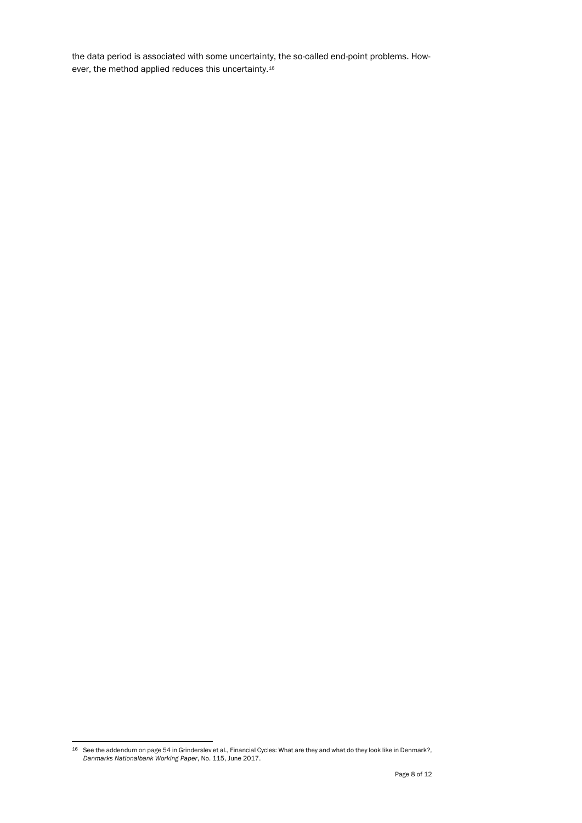the data period is associated with some uncertainty, the so-called end-point problems. However, the method applied reduces this uncertainty.<sup>16</sup>

<sup>&</sup>lt;sup>16</sup> See the addendum on page 54 in Grinderslev et al., Financial Cycles: What are they and what do they look like in Denmark?, *Danmarks Nationalbank Working Paper*, No. 115, June 2017.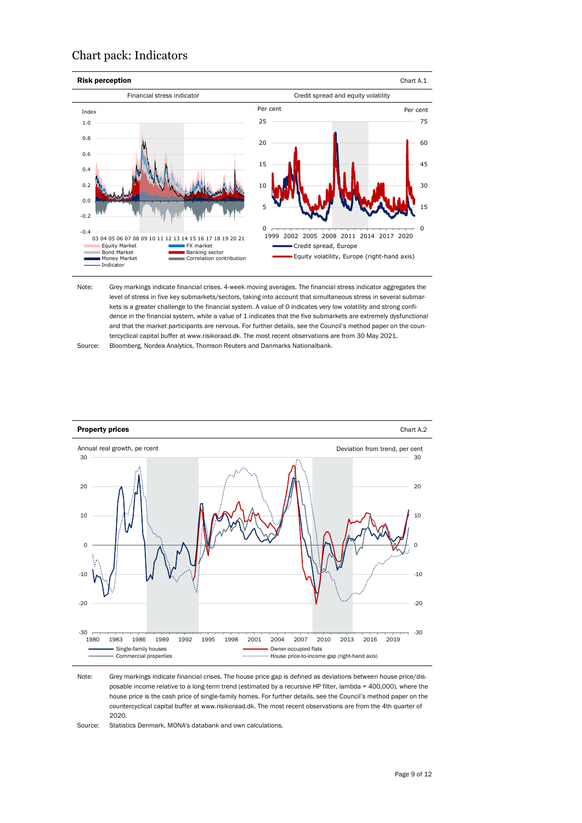#### Chart pack: Indicators



Note: Grey markings indicate financial crises. 4-week moving averages. The financial stress indicator aggregates the level of stress in five key submarkets/sectors, taking into account that simultaneous stress in several submarkets is a greater challenge to the financial system. A value of 0 indicates very low volatility and strong confidence in the financial system, while a value of 1 indicates that the five submarkets are extremely dysfunctional and that the market participants are nervous. For further details, see the Council's method paper on the countercyclical capital buffer at www.risikoraad.dk. The most recent observations are from 30 May 2021.

Source: Bloomberg, Nordea Analytics, Thomson Reuters and Danmarks Nationalbank.



Note: Grey markings indicate financial crises. The house price gap is defined as deviations between house price/disposable income relative to a long-term trend (estimated by a recursive HP filter, lambda = 400,000), where the house price is the cash price of single-family homes. For further details, see the Council's method paper on the countercyclical capital buffer at www.risikoraad.dk. The most recent observations are from the 4th quarter of 2020.

Source: Statistics Denmark, MONA's databank and own calculations.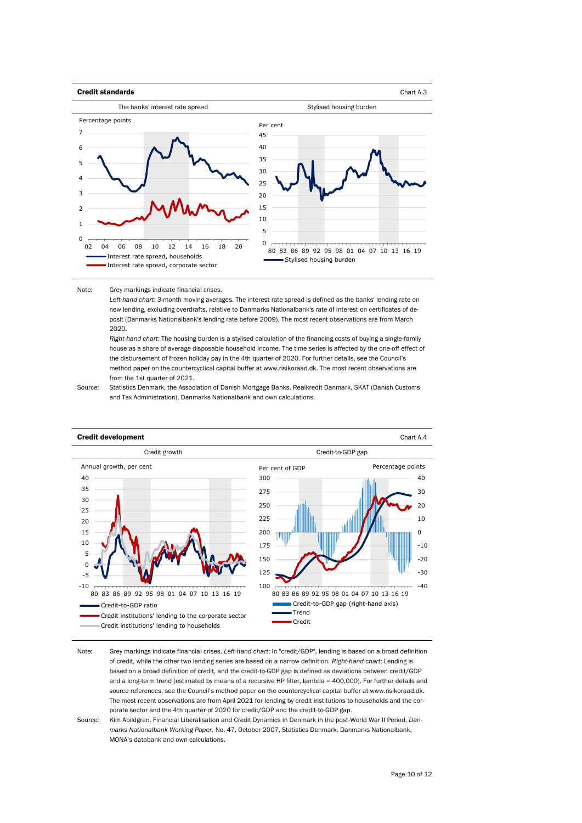

Note: Grey markings indicate financial crises.

> *Left-hand chart*: 3-month moving averages. The interest rate spread is defined as the banks' lending rate on new lending, excluding overdrafts, relative to Danmarks Nationalbank's rate of interest on certificates of deposit (Danmarks Nationalbank's lending rate before 2009). The most recent observations are from March 2020.

*Right-hand chart*: The housing burden is a stylised calculation of the financing costs of buying a single-family house as a share of average disposable household income. The time series is affected by the one-off effect of the disbursement of frozen holiday pay in the 4th quarter of 2020. For further details, see the Council's method paper on the countercyclical capital buffer at www.risikoraad.dk. The most recent observations are from the 1st quarter of 2021.

Source: Statistics Denmark, the Association of Danish Mortgage Banks, Realkredit Danmark, SKAT (Danish Customs and Tax Administration), Danmarks Nationalbank and own calculations.



- Note: Grey markings indicate financial crises. *Left-hand chart*: In "credit/GDP", lending is based on a broad definition of credit, while the other two lending series are based on a narrow definition. *Right-hand chart*: Lending is based on a broad definition of credit, and the credit-to-GDP gap is defined as deviations between credit/GDP and a long-term trend (estimated by means of a recursive HP filter, lambda = 400,000). For further details and source references, see the Council's method paper on the countercyclical capital buffer at www.risikoraad.dk. The most recent observations are from April 2021 for lending by credit institutions to households and the corporate sector and the 4th quarter of 2020 for credit/GDP and the credit-to-GDP gap.
- Source: Kim Abildgren, Financial Liberalisation and Credit Dynamics in Denmark in the post-World War II Period, *Danmarks Nationalbank Working Paper,* No. 47, October 2007, Statistics Denmark, Danmarks Nationalbank, MONA's databank and own calculations.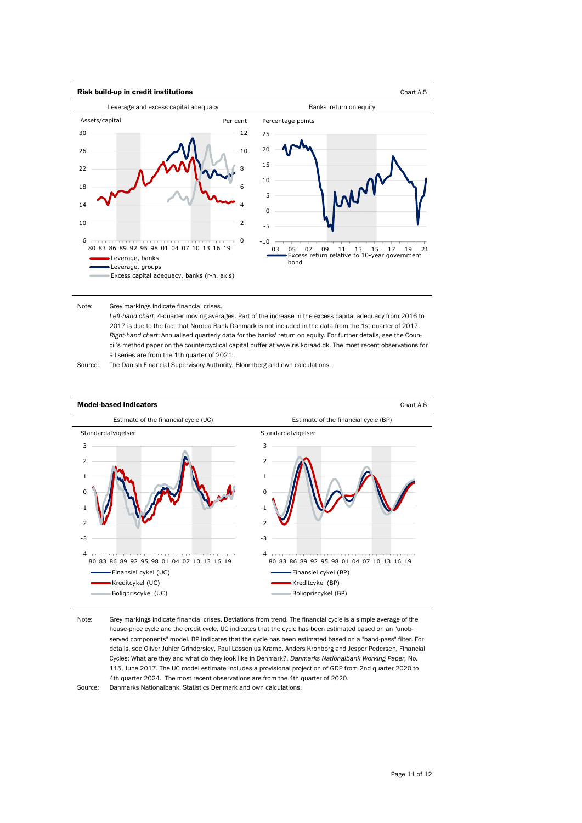

#### Note: Grey markings indicate financial crises.

*Left-hand chart*: 4-quarter moving averages. Part of the increase in the excess capital adequacy from 2016 to 2017 is due to the fact that Nordea Bank Danmark is not included in the data from the 1st quarter of 2017. *Right-hand chart*: Annualised quarterly data for the banks' return on equity. For further details, see the Council's method paper on the countercyclical capital buffer at www.risikoraad.dk. The most recent observations for all series are from the 1th quarter of 2021.

Source: The Danish Financial Supervisory Authority, Bloomberg and own calculations.



Note: Grey markings indicate financial crises. Deviations from trend. The financial cycle is a simple average of the house-price cycle and the credit cycle. UC indicates that the cycle has been estimated based on an "unobserved components" model. BP indicates that the cycle has been estimated based on a "band-pass" filter. For details, see Oliver Juhler Grinderslev, Paul Lassenius Kramp, Anders Kronborg and Jesper Pedersen, Financial Cycles: What are they and what do they look like in Denmark?, *Danmarks Nationalbank Working Paper,* No. 115, June 2017. The UC model estimate includes a provisional projection of GDP from 2nd quarter 2020 to 4th quarter 2024. The most recent observations are from the 4th quarter of 2020.

Source: Danmarks Nationalbank, Statistics Denmark and own calculations.